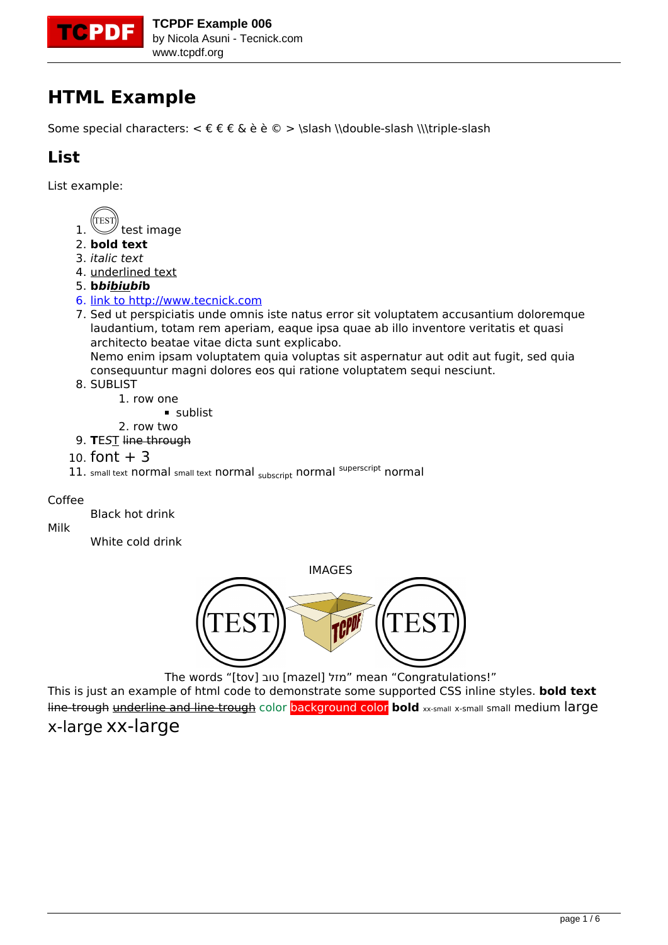

## **HTML Example**

Some special characters:  $\epsilon \in \epsilon \in \epsilon \$  è è © > \slash \\double-slash \\\triple-slash

### **List**

List example:



- 2. **bold text**
- 3. *italic text*
- 4. underlined text
- 5. **b***bibiubi***b**
- 6. [link to http://www.tecnick.com](http://www.tecnick.com)
- 7. Sed ut perspiciatis unde omnis iste natus error sit voluptatem accusantium doloremque laudantium, totam rem aperiam, eaque ipsa quae ab illo inventore veritatis et quasi architecto beatae vitae dicta sunt explicabo. Nemo enim ipsam voluptatem quia voluptas sit aspernatur aut odit aut fugit, sed quia

consequuntur magni dolores eos qui ratione voluptatem sequi nesciunt.

8. SUBLIST

1. row one

- sublist
- 2. row two 9. **T**E*S*T line through
- 10. font  $+3$
- 11. small text normal small text normal subscript normal superscript normal

#### Coffee

Black hot drink

Milk

White cold drink



The words "[tov] טוב] mazel] מזל "mean "Congratulations!"

This is just an example of html code to demonstrate some supported CSS inline styles. **bold text** line-trough underline and line-trough color background color bold xx-small x-small small medium large x-large xx-large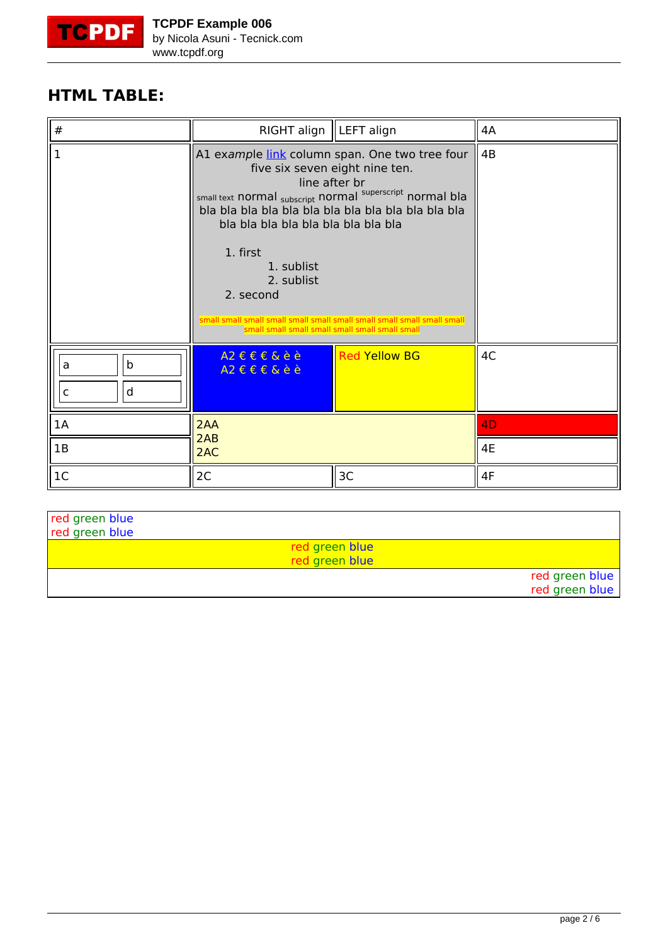<span id="page-1-0"></span>

### **HTML TABLE:**

| #                          | RIGHT align   LEFT align                                                                                                                                                                                                                                                                                                                                                                 |                      | 4A             |
|----------------------------|------------------------------------------------------------------------------------------------------------------------------------------------------------------------------------------------------------------------------------------------------------------------------------------------------------------------------------------------------------------------------------------|----------------------|----------------|
| $\mathbf{1}$               | A1 example link column span. One two tree four<br>five six seven eight nine ten.<br>line after br<br>small text normal subscript normal superscript normal bla<br>bla bla bla bla bla bla bla bla bla<br>1. first<br>1. sublist<br>2. sublist<br>2. second<br>small small small small small small small small small small small small<br>small small small small small small small small |                      | 4B             |
| b<br>a<br>d<br>$\mathsf C$ | $A2 \in E E E$<br>$A2 \in E \in \&$ èè                                                                                                                                                                                                                                                                                                                                                   | <b>Red Yellow BG</b> | 4C             |
| 1A                         | 2AA                                                                                                                                                                                                                                                                                                                                                                                      |                      | 4 <sub>D</sub> |
| 1B                         | 2AB<br>2AC                                                                                                                                                                                                                                                                                                                                                                               |                      | 4E             |
| 1 <sup>C</sup>             | 2C                                                                                                                                                                                                                                                                                                                                                                                       | 3C                   | 4F             |

| red green blue<br>red green blue |                                  |                                  |
|----------------------------------|----------------------------------|----------------------------------|
|                                  | red green blue<br>red green blue |                                  |
|                                  |                                  | red green blue<br>red green blue |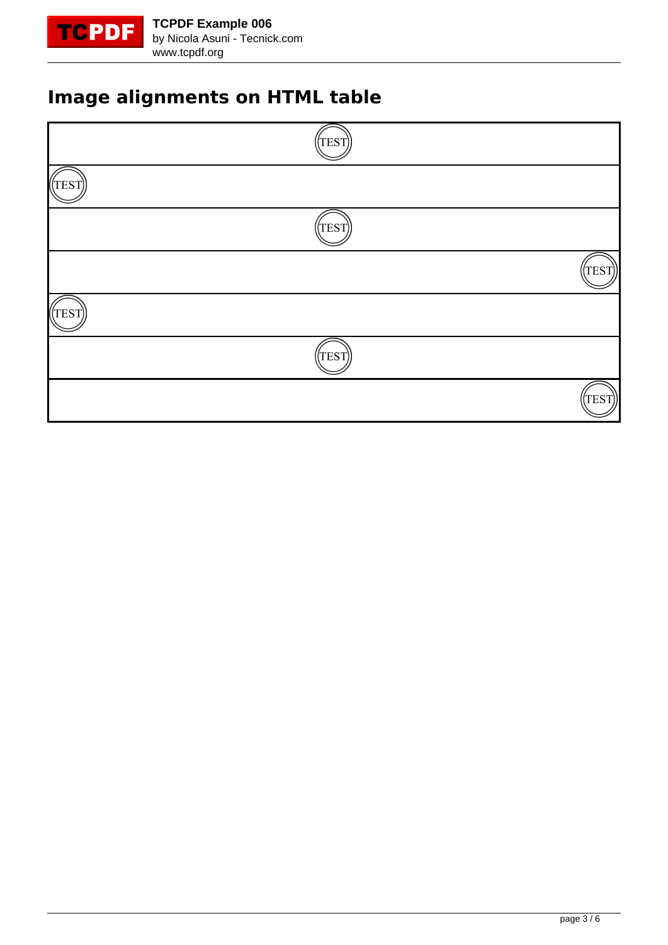

# **Image alignments on HTML table**

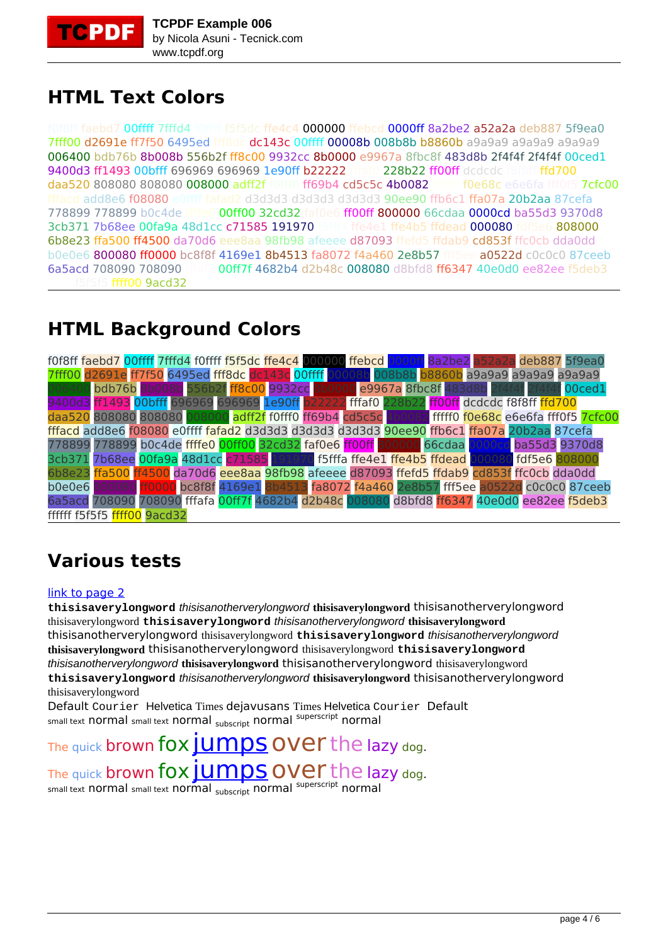

## **HTML Text Colors**

f8ff faebd7 00ffff 7fffd4 f0ffff f5f5dc ffe4c4 000000 ffebcd 0000ff 8a2be2 a52a2a deb887 5f9ea0 7fff00 d2691e ff7f50 6495ed fff8dc dc143c 00ffff 00008b 008b8b b8860b a9a9a9 a9a9a9 a9a9a9 006400 bdb76b 8b008b 556b2f ff8c00 9932cc 8b0000 e9967a 8fbc8f 483d8b 2f4f4f 2f4f4f 00ced1 9400d3 ff1493 00bfff 696969 696969 1e90ff b22222 ffai0 228b22 ff00ff dcdcdc f8f8ff ffd700 daa520 808080 808080 008000 adff2f f0fff0 ff69b4 cd5c5c 4b0082 fffff0 f0e68c e6e6fa fff0f5 7cfc00 fffacd add8e6 f08080 e0ffff fafad2 d3d3d3 d3d3d3 d3d3d3 90ee90 ffb6c1 ffa07a 20b2aa 87cefa 778899 778899 b0c4de ffffe0 00ff00 32cd32 faf0e6 ff00ff 800000 66cdaa 0000cd ba55d3 9370d8 3cb371 7b68ee 00fa9a 48d1cc c71585 191970 ffffa ffe4e1 ffe4b5 ffdead 000080 fdf5e6 808000 6b8e23 ffa500 ff4500 da70d6 eee8aa 98fb98 afeeee d87093 ffefd5 ffdab9 cd853f ffc0cb dda0dd b0e0e6 800080 ff0000 bc8f8f 4169e1 8b4513 fa8072 f4a460 2e8b57 fff5ee a0522d c0c0c0 87ceeb 6a5acd 708090 708090 fffafa 00ff7f 4682b4 d2b48c 008080 d8bfd8 ff6347 40e0d0 ee82ee f5deb3  $ffff00$  9acd32

# **HTML Background Colors**

f0f8ff faebd7 00ffff 7fffd4 f0ffff f5f5dc ffe4c4 000000 ffebcd 0000ff 8a2be2 a52a2a deb887 5f9ea0 7fff00 d2691e ff7f50 6495ed fff8dc dc143c 00ffff 00008b 008b8b b8860b a9a9a9 a9a9a9 a9a9a9 006400 bdb76b 8b008b 556b2f ff8c00 9932cc 8b0000 e9967a 8fbc8f 483d8b 2f4f4f 2f4f4f 00ced1 9400d3 ff1493 00bfff 696969 696969 1e90ff b22222 fffaf0 228b22 ff00ff dcdcdc f8f8ff ffd700 daa520 808080 808080 008000 adff2f f0fff0 ff69b4 cd5c5c 4b0082 fffff0 f0e68c e6e6fa fff0f5 7cfc00 fffacd add8e6 f08080 e0ffff fafad2 d3d3d3 d3d3d3 d3d3d3 90ee90 ffb6c1 ffa07a 20b2aa 87cefa 778899 778899 b0c4de ffffe0 00ff00 32cd32 faf0e6 ff00ff 800000 66cdaa 0000cd ba55d3 9370d8 3cb371 7b68ee <mark>00fa9a</mark> 48d1cc <mark>c71585</mark> 191970 f5fffa ffe4e1 <mark>ffe4b5</mark> ffdead <mark>000080</mark> fdf5e6 <mark>808000</mark><br>6b8e23 ffa500 ff4500 da70d6 eee8aa 98fb98 afeeee d87093 ffefd5 ffdab9 cd853f ffc0cb dda0dd ffa500 ff4500 da70d6 eee8aa 98fb98 afeeee d87093 ffefd5 ffdab9 cd853f ffc0cb dda0dd b0e0e6 800080 ff0000 bc8f8f 4169e1 8b4513 fa8072 f4a460 2e8b57 fff5ee a0522d c0c0c0 87ceeb 6a5acd 708090 708090 fffafa 00ff7f 4682b4 d2b48c 008080 d8bfd8 ff6347 40e0d0 ee82ee f5deb3 ffffff f5f5f5 ffff00 9acd32

# **Various tests**

#### [link to page 2](#page-1-0)

**thisisaverylongword** thisisanotherverylongword **thisisaverylongword** thisisanotherverylongword thisisaverylongword **thisisaverylongword** thisisanotherverylongword **thisisaverylongword** thisisanotherverylongword thisisaverylongword **thisisaverylongword** thisisanotherverylongword **thisisaverylongword** thisisanotherverylongword thisisaverylongword **thisisaverylongword** thisisanotherverylongword **thisisaverylongword** thisisanotherverylongword thisisaverylongword **thisisaverylongword** thisisanotherverylongword **thisisaverylongword** thisisanotherverylongword thisisaverylongword

Default Courier Helvetica Times dejavusans Times Helvetica Courier Default small text normal small text normal subscript normal superscript normal

The quick brown fox [jumps](http://www.tcpdf.org) over the lazy dog. The quick brown fox  $\overline{J}$  UMDS OVET the lazy dog. small text normal small text normal subscript normal superscript normal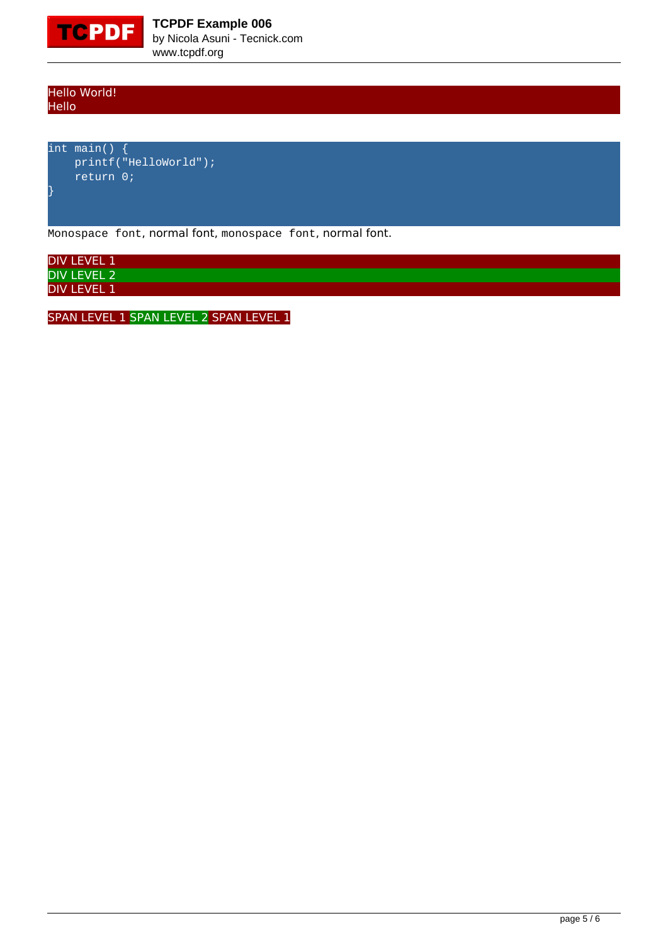

Hello World! Hello

int main() { printf("HelloWorld"); return 0;

Monospace font, normal font, monospace font, normal font.

DIV LEVEL 1 DIV LEVEL 2 **DIV LEVEL 1** 

SPAN LEVEL 1 SPAN LEVEL 2 SPAN LEVEL 1